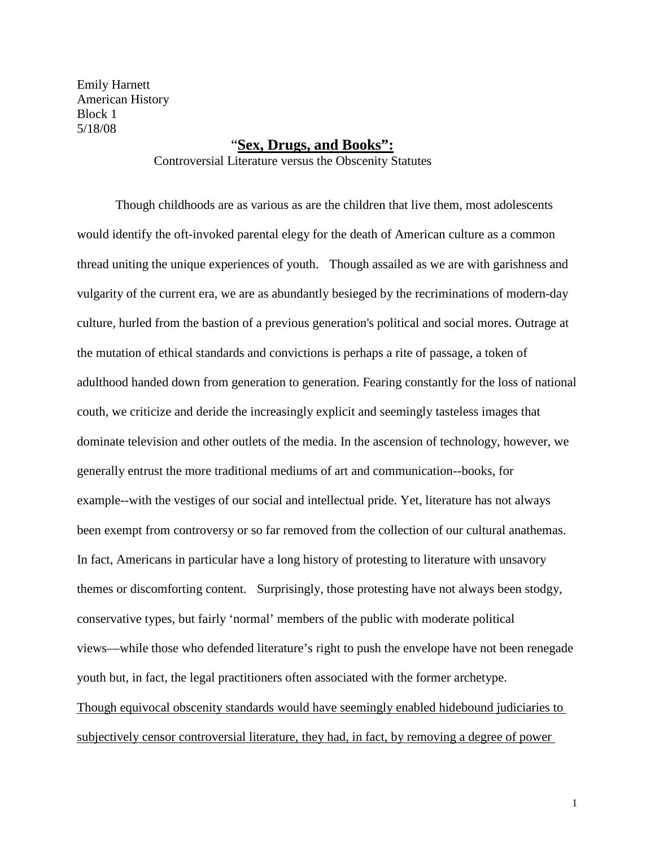Emily Harnett American History Block 1 5/18/08

## "**Sex, Drugs, and Books":**

Controversial Literature versus the Obscenity Statutes

Though childhoods are as various as are the children that live them, most adolescents would identify the oft-invoked parental elegy for the death of American culture as a common thread uniting the unique experiences of youth. Though assailed as we are with garishness and vulgarity of the current era, we are as abundantly besieged by the recriminations of modern-day culture, hurled from the bastion of a previous generation's political and social mores. Outrage at the mutation of ethical standards and convictions is perhaps a rite of passage, a token of adulthood handed down from generation to generation. Fearing constantly for the loss of national couth, we criticize and deride the increasingly explicit and seemingly tasteless images that dominate television and other outlets of the media. In the ascension of technology, however, we generally entrust the more traditional mediums of art and communication--books, for example--with the vestiges of our social and intellectual pride. Yet, literature has not always been exempt from controversy or so far removed from the collection of our cultural anathemas. In fact, Americans in particular have a long history of protesting to literature with unsavory themes or discomforting content. Surprisingly, those protesting have not always been stodgy, conservative types, but fairly 'normal' members of the public with moderate political views—while those who defended literature's right to push the envelope have not been renegade youth but, in fact, the legal practitioners often associated with the former archetype. Though equivocal obscenity standards would have seemingly enabled hidebound judiciaries to subjectively censor controversial literature, they had, in fact, by removing a degree of power

1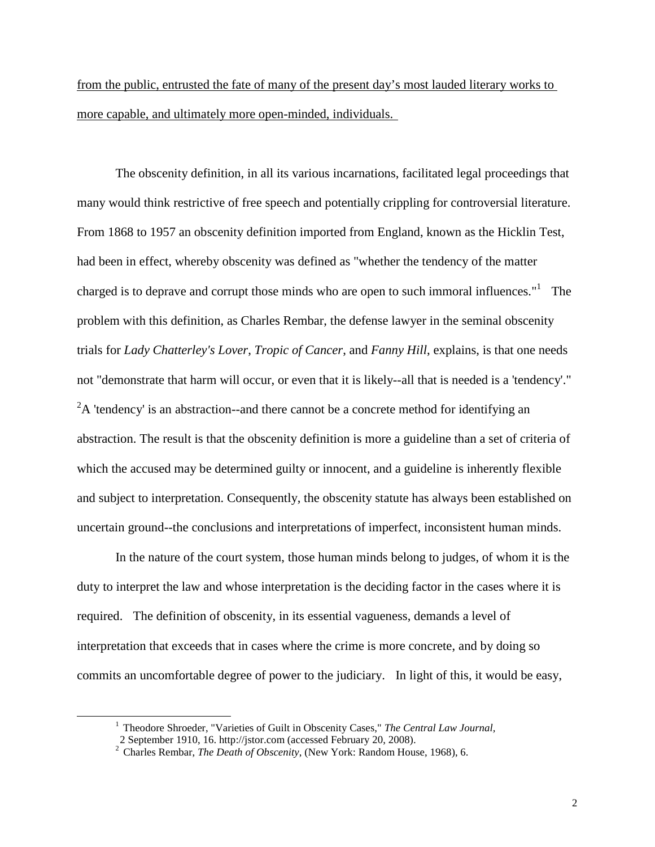from the public, entrusted the fate of many of the present day's most lauded literary works to more capable, and ultimately more open-minded, individuals.

The obscenity definition, in all its various incarnations, facilitated legal proceedings that many would think restrictive of free speech and potentially crippling for controversial literature. From 1868 to 1957 an obscenity definition imported from England, known as the Hicklin Test, had been in effect, whereby obscenity was defined as "whether the tendency of the matter charged is to deprave and corrupt those minds who are open to such immoral influences."<sup>1</sup> The problem with this definition, as Charles Rembar, the defense lawyer in the seminal obscenity trials for *Lady Chatterley's Lover*, *Tropic of Cancer*, and *Fanny Hill*, explains, is that one needs not "demonstrate that harm will occur, or even that it is likely--all that is needed is a 'tendency'."  ${}^{2}$ A 'tendency' is an abstraction--and there cannot be a concrete method for identifying an abstraction. The result is that the obscenity definition is more a guideline than a set of criteria of which the accused may be determined guilty or innocent, and a guideline is inherently flexible and subject to interpretation. Consequently, the obscenity statute has always been established on uncertain ground--the conclusions and interpretations of imperfect, inconsistent human minds.

In the nature of the court system, those human minds belong to judges, of whom it is the duty to interpret the law and whose interpretation is the deciding factor in the cases where it is required. The definition of obscenity, in its essential vagueness, demands a level of interpretation that exceeds that in cases where the crime is more concrete, and by doing so commits an uncomfortable degree of power to the judiciary. In light of this, it would be easy,

<sup>&</sup>lt;sup>1</sup> Theodore Shroeder, "Varieties of Guilt in Obscenity Cases," *The Central Law Journal*, 2 September 1910, 16. http://jstor.com (accessed February 20, 2008).

<sup>&</sup>lt;sup>2</sup> Charles Rembar, *The Death of Obscenity*, (New York: Random House, 1968), 6.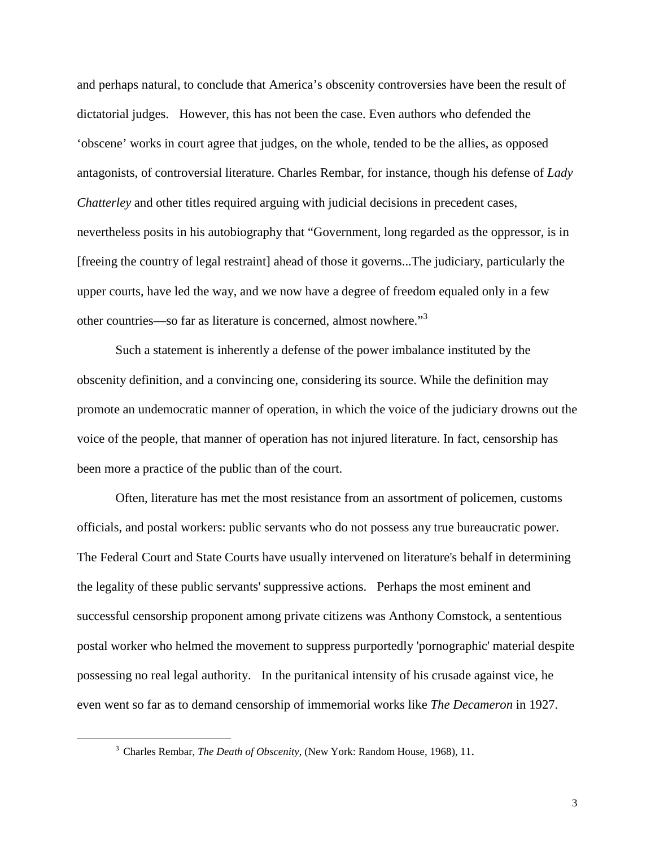and perhaps natural, to conclude that America's obscenity controversies have been the result of dictatorial judges. However, this has not been the case. Even authors who defended the 'obscene' works in court agree that judges, on the whole, tended to be the allies, as opposed antagonists, of controversial literature. Charles Rembar, for instance, though his defense of *Lady Chatterley* and other titles required arguing with judicial decisions in precedent cases, nevertheless posits in his autobiography that "Government, long regarded as the oppressor, is in [freeing the country of legal restraint] ahead of those it governs...The judiciary, particularly the upper courts, have led the way, and we now have a degree of freedom equaled only in a few other countries—so far as literature is concerned, almost nowhere."<sup>3</sup>

Such a statement is inherently a defense of the power imbalance instituted by the obscenity definition, and a convincing one, considering its source. While the definition may promote an undemocratic manner of operation, in which the voice of the judiciary drowns out the voice of the people, that manner of operation has not injured literature. In fact, censorship has been more a practice of the public than of the court.

Often, literature has met the most resistance from an assortment of policemen, customs officials, and postal workers: public servants who do not possess any true bureaucratic power. The Federal Court and State Courts have usually intervened on literature's behalf in determining the legality of these public servants' suppressive actions. Perhaps the most eminent and successful censorship proponent among private citizens was Anthony Comstock, a sententious postal worker who helmed the movement to suppress purportedly 'pornographic' material despite possessing no real legal authority. In the puritanical intensity of his crusade against vice, he even went so far as to demand censorship of immemorial works like *The Decameron* in 1927.

 <sup>3</sup> Charles Rembar, *The Death of Obscenity*, (New York: Random House, 1968), 11.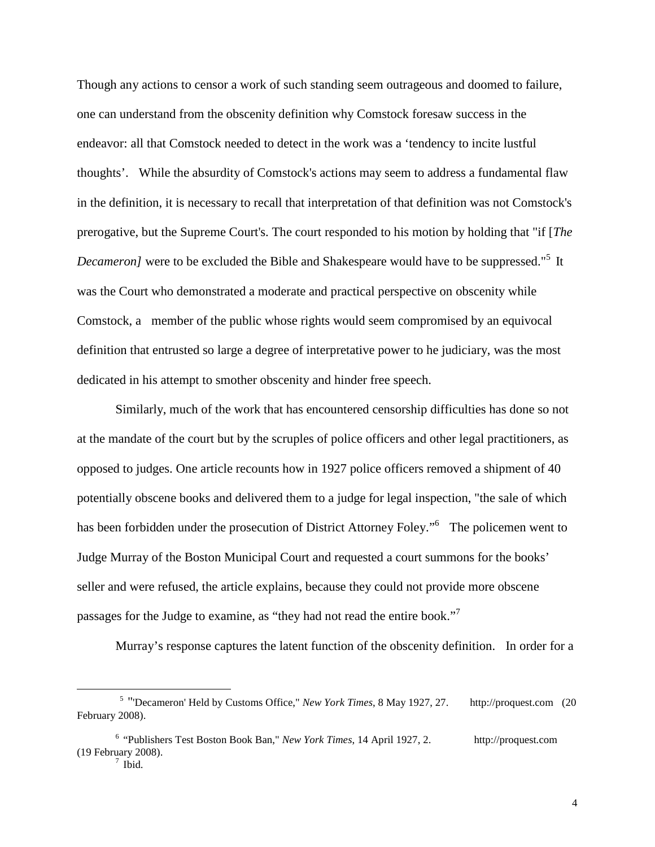Though any actions to censor a work of such standing seem outrageous and doomed to failure, one can understand from the obscenity definition why Comstock foresaw success in the endeavor: all that Comstock needed to detect in the work was a 'tendency to incite lustful thoughts'. While the absurdity of Comstock's actions may seem to address a fundamental flaw in the definition, it is necessary to recall that interpretation of that definition was not Comstock's prerogative, but the Supreme Court's. The court responded to his motion by holding that "if [*The Decameron]* were to be excluded the Bible and Shakespeare would have to be suppressed."<sup>5</sup> It was the Court who demonstrated a moderate and practical perspective on obscenity while Comstock, a member of the public whose rights would seem compromised by an equivocal definition that entrusted so large a degree of interpretative power to he judiciary, was the most dedicated in his attempt to smother obscenity and hinder free speech.

Similarly, much of the work that has encountered censorship difficulties has done so not at the mandate of the court but by the scruples of police officers and other legal practitioners, as opposed to judges. One article recounts how in 1927 police officers removed a shipment of 40 potentially obscene books and delivered them to a judge for legal inspection, "the sale of which has been forbidden under the prosecution of District Attorney Foley."<sup>6</sup> The policemen went to Judge Murray of the Boston Municipal Court and requested a court summons for the books' seller and were refused, the article explains, because they could not provide more obscene passages for the Judge to examine, as "they had not read the entire book."<sup>7</sup>

Murray's response captures the latent function of the obscenity definition. In order for a

 $\overline{a}$ 

<sup>5</sup> "'Decameron' Held by Customs Office," *New York Times*, 8 May 1927, 27. http://proquest.com (20 February 2008).

<sup>6</sup> "Publishers Test Boston Book Ban," *New York Times*, 14 April 1927, 2. http://proquest.com (19 February 2008).<br> $\frac{7}{1}$  Ibid.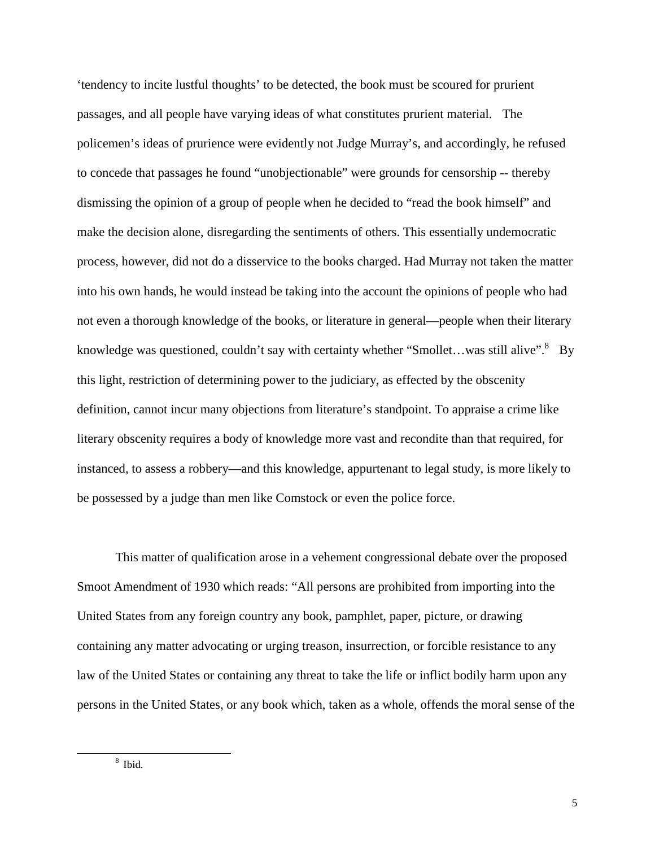'tendency to incite lustful thoughts' to be detected, the book must be scoured for prurient passages, and all people have varying ideas of what constitutes prurient material. The policemen's ideas of prurience were evidently not Judge Murray's, and accordingly, he refused to concede that passages he found "unobjectionable" were grounds for censorship -- thereby dismissing the opinion of a group of people when he decided to "read the book himself" and make the decision alone, disregarding the sentiments of others. This essentially undemocratic process, however, did not do a disservice to the books charged. Had Murray not taken the matter into his own hands, he would instead be taking into the account the opinions of people who had not even a thorough knowledge of the books, or literature in general—people when their literary knowledge was questioned, couldn't say with certainty whether "Smollet...was still alive".<sup>8</sup> By this light, restriction of determining power to the judiciary, as effected by the obscenity definition, cannot incur many objections from literature's standpoint. To appraise a crime like literary obscenity requires a body of knowledge more vast and recondite than that required, for instanced, to assess a robbery—and this knowledge, appurtenant to legal study, is more likely to be possessed by a judge than men like Comstock or even the police force.

This matter of qualification arose in a vehement congressional debate over the proposed Smoot Amendment of 1930 which reads: "All persons are prohibited from importing into the United States from any foreign country any book, pamphlet, paper, picture, or drawing containing any matter advocating or urging treason, insurrection, or forcible resistance to any law of the United States or containing any threat to take the life or inflict bodily harm upon any persons in the United States, or any book which, taken as a whole, offends the moral sense of the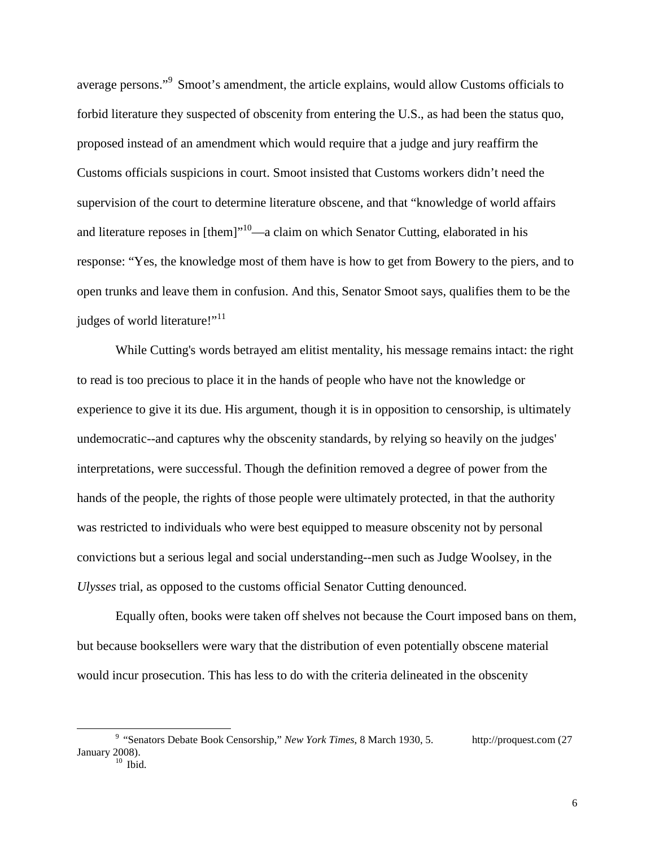average persons."<sup>9</sup> Smoot's amendment, the article explains, would allow Customs officials to forbid literature they suspected of obscenity from entering the U.S., as had been the status quo, proposed instead of an amendment which would require that a judge and jury reaffirm the Customs officials suspicions in court. Smoot insisted that Customs workers didn't need the supervision of the court to determine literature obscene, and that "knowledge of world affairs and literature reposes in  $[them]^{10}$ —a claim on which Senator Cutting, elaborated in his response: "Yes, the knowledge most of them have is how to get from Bowery to the piers, and to open trunks and leave them in confusion. And this, Senator Smoot says, qualifies them to be the judges of world literature!"<sup>11</sup>

While Cutting's words betrayed am elitist mentality, his message remains intact: the right to read is too precious to place it in the hands of people who have not the knowledge or experience to give it its due. His argument, though it is in opposition to censorship, is ultimately undemocratic--and captures why the obscenity standards, by relying so heavily on the judges' interpretations, were successful. Though the definition removed a degree of power from the hands of the people, the rights of those people were ultimately protected, in that the authority was restricted to individuals who were best equipped to measure obscenity not by personal convictions but a serious legal and social understanding--men such as Judge Woolsey, in the *Ulysses* trial, as opposed to the customs official Senator Cutting denounced.

Equally often, books were taken off shelves not because the Court imposed bans on them, but because booksellers were wary that the distribution of even potentially obscene material would incur prosecution. This has less to do with the criteria delineated in the obscenity

<sup>&</sup>lt;sup>9</sup> "Senators Debate Book Censorship," *New York Times*, 8 March 1930, 5. http://proquest.com (27) January 2008).<br> $\frac{10}{10}$  Ibid.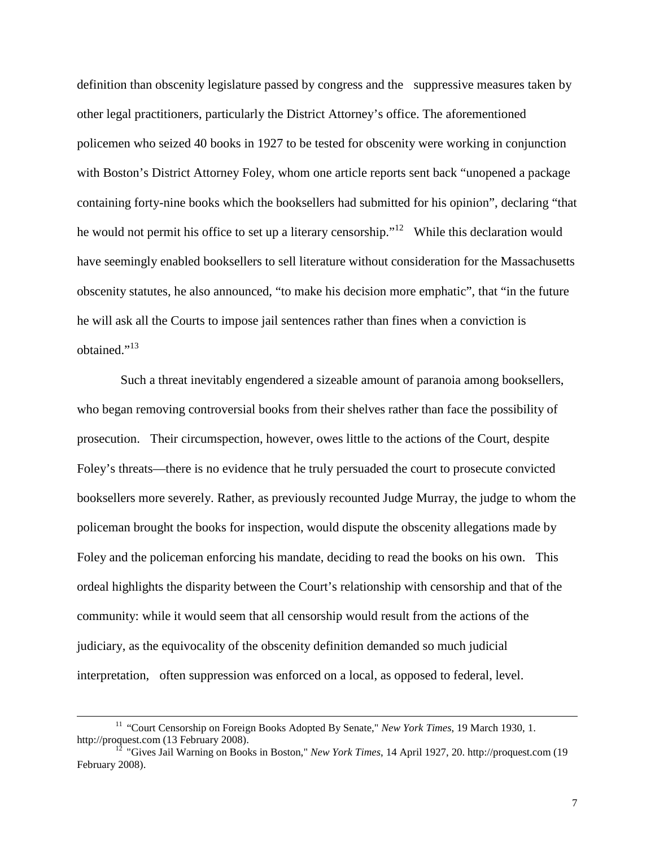definition than obscenity legislature passed by congress and the suppressive measures taken by other legal practitioners, particularly the District Attorney's office. The aforementioned policemen who seized 40 books in 1927 to be tested for obscenity were working in conjunction with Boston's District Attorney Foley, whom one article reports sent back "unopened a package containing forty-nine books which the booksellers had submitted for his opinion", declaring "that he would not permit his office to set up a literary censorship."<sup>12</sup> While this declaration would have seemingly enabled booksellers to sell literature without consideration for the Massachusetts obscenity statutes, he also announced, "to make his decision more emphatic", that "in the future he will ask all the Courts to impose jail sentences rather than fines when a conviction is obtained."<sup>13</sup>

Such a threat inevitably engendered a sizeable amount of paranoia among booksellers, who began removing controversial books from their shelves rather than face the possibility of prosecution. Their circumspection, however, owes little to the actions of the Court, despite Foley's threats—there is no evidence that he truly persuaded the court to prosecute convicted booksellers more severely. Rather, as previously recounted Judge Murray, the judge to whom the policeman brought the books for inspection, would dispute the obscenity allegations made by Foley and the policeman enforcing his mandate, deciding to read the books on his own. This ordeal highlights the disparity between the Court's relationship with censorship and that of the community: while it would seem that all censorship would result from the actions of the judiciary, as the equivocality of the obscenity definition demanded so much judicial interpretation, often suppression was enforced on a local, as opposed to federal, level.

<sup>&</sup>lt;sup>11</sup> "Court Censorship on Foreign Books Adopted By Senate," *New York Times*, 19 March 1930, 1. [http://proquest.com](http://proquest.com/) (13 February 2008). <sup>12</sup> "Gives Jail Warning on Books in Boston," *New York Times*, 14 April 1927, 20. http://proquest.com (19

February 2008).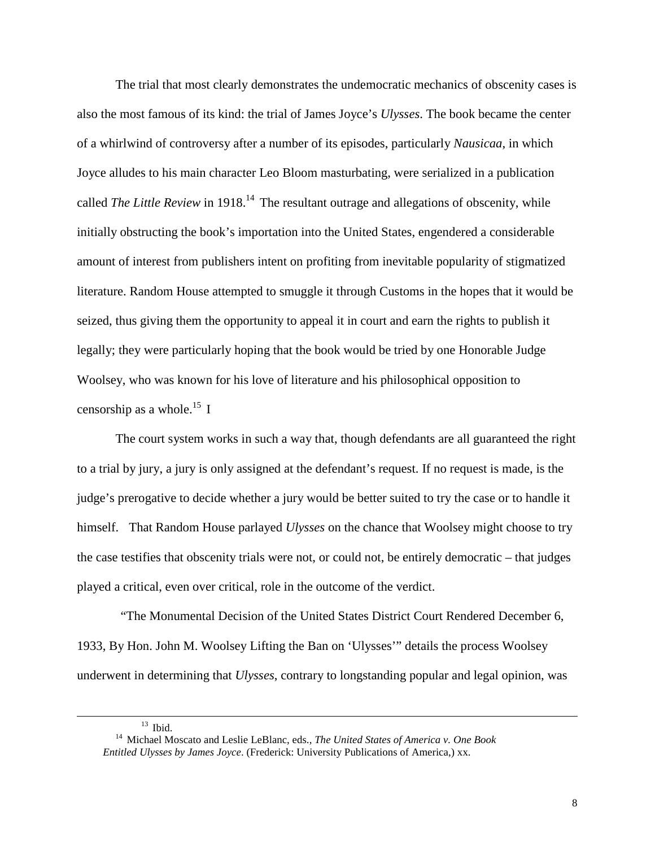The trial that most clearly demonstrates the undemocratic mechanics of obscenity cases is also the most famous of its kind: the trial of James Joyce's *Ulysses*. The book became the center of a whirlwind of controversy after a number of its episodes, particularly *Nausicaa*, in which Joyce alludes to his main character Leo Bloom masturbating, were serialized in a publication called *The Little Review* in 1918.<sup>14</sup> The resultant outrage and allegations of obscenity, while initially obstructing the book's importation into the United States, engendered a considerable amount of interest from publishers intent on profiting from inevitable popularity of stigmatized literature. Random House attempted to smuggle it through Customs in the hopes that it would be seized, thus giving them the opportunity to appeal it in court and earn the rights to publish it legally; they were particularly hoping that the book would be tried by one Honorable Judge Woolsey, who was known for his love of literature and his philosophical opposition to censorship as a whole.<sup>15</sup> I

The court system works in such a way that, though defendants are all guaranteed the right to a trial by jury, a jury is only assigned at the defendant's request. If no request is made, is the judge's prerogative to decide whether a jury would be better suited to try the case or to handle it himself. That Random House parlayed *Ulysses* on the chance that Woolsey might choose to try the case testifies that obscenity trials were not, or could not, be entirely democratic – that judges played a critical, even over critical, role in the outcome of the verdict.

"The Monumental Decision of the United States District Court Rendered December 6, 1933, By Hon. John M. Woolsey Lifting the Ban on 'Ulysses'" details the process Woolsey underwent in determining that *Ulysses*, contrary to longstanding popular and legal opinion, was

 $\overline{a}$ 

<sup>&</sup>lt;sup>13</sup> Ibid.<br><sup>14</sup> Michael Moscato and Leslie LeBlanc, eds., *The United States of America v. One Book Entitled Ulysses by James Joyce*. (Frederick: University Publications of America,) xx.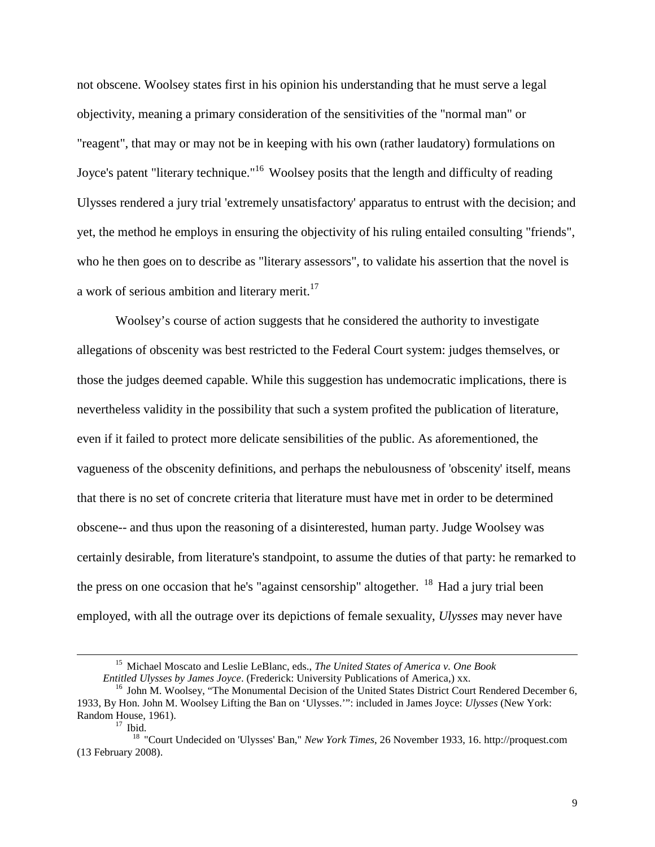not obscene. Woolsey states first in his opinion his understanding that he must serve a legal objectivity, meaning a primary consideration of the sensitivities of the "normal man" or "reagent", that may or may not be in keeping with his own (rather laudatory) formulations on Joyce's patent "literary technique."<sup>16</sup> Woolsey posits that the length and difficulty of reading Ulysses rendered a jury trial 'extremely unsatisfactory' apparatus to entrust with the decision; and yet, the method he employs in ensuring the objectivity of his ruling entailed consulting "friends", who he then goes on to describe as "literary assessors", to validate his assertion that the novel is a work of serious ambition and literary merit.<sup>17</sup>

Woolsey's course of action suggests that he considered the authority to investigate allegations of obscenity was best restricted to the Federal Court system: judges themselves, or those the judges deemed capable. While this suggestion has undemocratic implications, there is nevertheless validity in the possibility that such a system profited the publication of literature, even if it failed to protect more delicate sensibilities of the public. As aforementioned, the vagueness of the obscenity definitions, and perhaps the nebulousness of 'obscenity' itself, means that there is no set of concrete criteria that literature must have met in order to be determined obscene-- and thus upon the reasoning of a disinterested, human party. Judge Woolsey was certainly desirable, from literature's standpoint, to assume the duties of that party: he remarked to the press on one occasion that he's "against censorship" altogether.  $^{18}$  Had a jury trial been employed, with all the outrage over its depictions of female sexuality, *Ulysses* may never have

<sup>&</sup>lt;sup>15</sup> Michael Moscato and Leslie LeBlanc, eds., *The United States of America v. One Book Entitled Ulysses by James Joyce*. (Frederick: University Publications of America.) xx.

<sup>&</sup>lt;sup>16</sup> John M. Woolsey, "The Monumental Decision of the United States District Court Rendered December 6, 1933, By Hon. John M. Woolsey Lifting the Ban on 'Ulysses.'": included in James Joyce: *Ulysses* (New York: Random House, 1961).<br> $\frac{17}{17}$  Ibid.

<sup>18</sup> "Court Undecided on 'Ulysses' Ban," *New York Times*, 26 November 1933, 16. http://proquest.com (13 February 2008).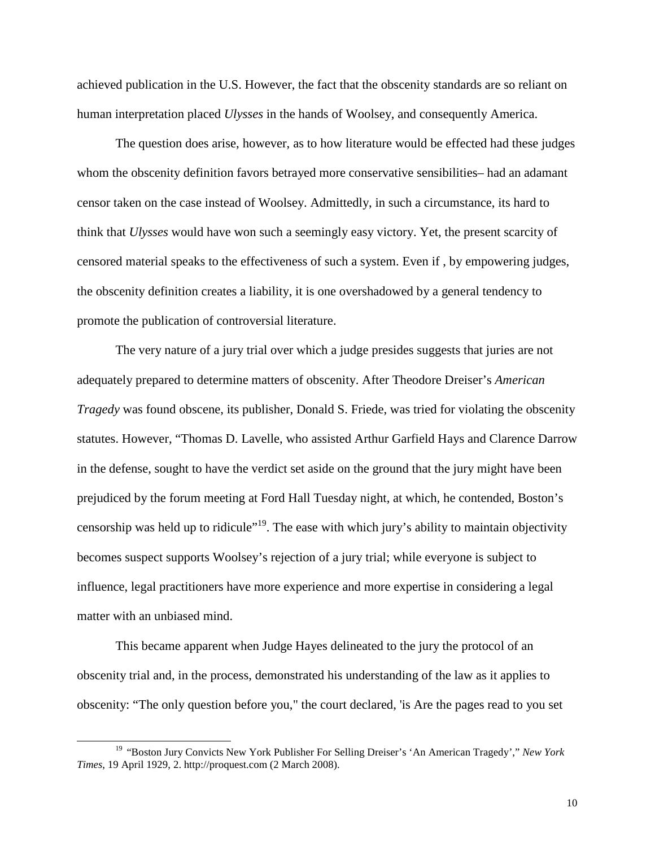achieved publication in the U.S. However, the fact that the obscenity standards are so reliant on human interpretation placed *Ulysses* in the hands of Woolsey, and consequently America.

The question does arise, however, as to how literature would be effected had these judges whom the obscenity definition favors betrayed more conservative sensibilities– had an adamant censor taken on the case instead of Woolsey. Admittedly, in such a circumstance, its hard to think that *Ulysses* would have won such a seemingly easy victory. Yet, the present scarcity of censored material speaks to the effectiveness of such a system. Even if , by empowering judges, the obscenity definition creates a liability, it is one overshadowed by a general tendency to promote the publication of controversial literature.

The very nature of a jury trial over which a judge presides suggests that juries are not adequately prepared to determine matters of obscenity. After Theodore Dreiser's *American Tragedy* was found obscene, its publisher, Donald S. Friede, was tried for violating the obscenity statutes. However, "Thomas D. Lavelle, who assisted Arthur Garfield Hays and Clarence Darrow in the defense, sought to have the verdict set aside on the ground that the jury might have been prejudiced by the forum meeting at Ford Hall Tuesday night, at which, he contended, Boston's censorship was held up to ridicule"19. The ease with which jury's ability to maintain objectivity becomes suspect supports Woolsey's rejection of a jury trial; while everyone is subject to influence, legal practitioners have more experience and more expertise in considering a legal matter with an unbiased mind.

This became apparent when Judge Hayes delineated to the jury the protocol of an obscenity trial and, in the process, demonstrated his understanding of the law as it applies to obscenity: "The only question before you," the court declared, 'is Are the pages read to you set

 <sup>19</sup> "Boston Jury Convicts New York Publisher For Selling Dreiser's 'An American Tragedy'," *New York Times*, 19 April 1929, 2. http://proquest.com (2 March 2008).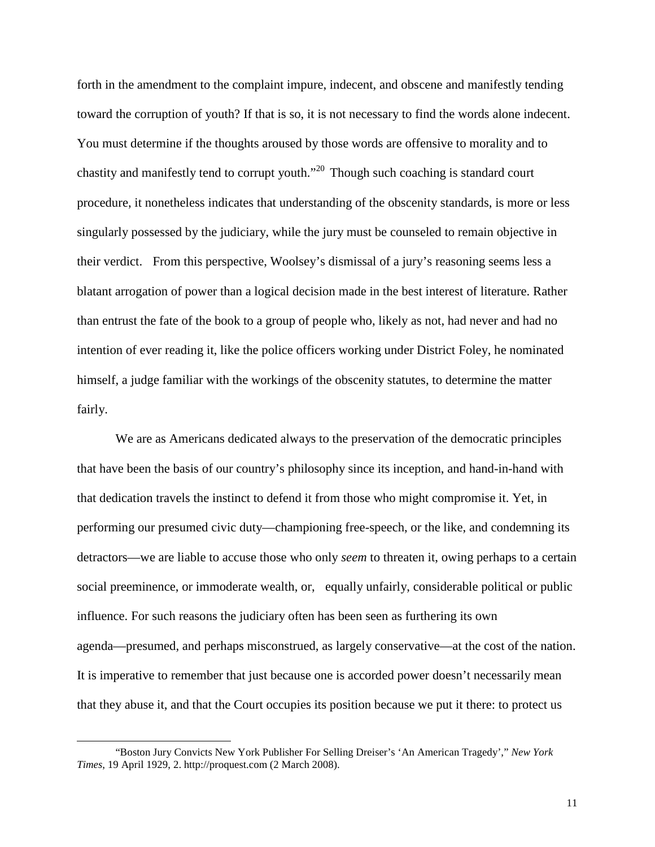forth in the amendment to the complaint impure, indecent, and obscene and manifestly tending toward the corruption of youth? If that is so, it is not necessary to find the words alone indecent. You must determine if the thoughts aroused by those words are offensive to morality and to chastity and manifestly tend to corrupt youth."<sup>20</sup> Though such coaching is standard court procedure, it nonetheless indicates that understanding of the obscenity standards, is more or less singularly possessed by the judiciary, while the jury must be counseled to remain objective in their verdict. From this perspective, Woolsey's dismissal of a jury's reasoning seems less a blatant arrogation of power than a logical decision made in the best interest of literature. Rather than entrust the fate of the book to a group of people who, likely as not, had never and had no intention of ever reading it, like the police officers working under District Foley, he nominated himself, a judge familiar with the workings of the obscenity statutes, to determine the matter fairly.

We are as Americans dedicated always to the preservation of the democratic principles that have been the basis of our country's philosophy since its inception, and hand-in-hand with that dedication travels the instinct to defend it from those who might compromise it. Yet, in performing our presumed civic duty—championing free-speech, or the like, and condemning its detractors—we are liable to accuse those who only *seem* to threaten it, owing perhaps to a certain social preeminence, or immoderate wealth, or, equally unfairly, considerable political or public influence. For such reasons the judiciary often has been seen as furthering its own agenda—presumed, and perhaps misconstrued, as largely conservative—at the cost of the nation. It is imperative to remember that just because one is accorded power doesn't necessarily mean that they abuse it, and that the Court occupies its position because we put it there: to protect us

 $\overline{a}$ 

<sup>&</sup>quot;Boston Jury Convicts New York Publisher For Selling Dreiser's 'An American Tragedy'," *New York Times*, 19 April 1929, 2. http://proquest.com (2 March 2008).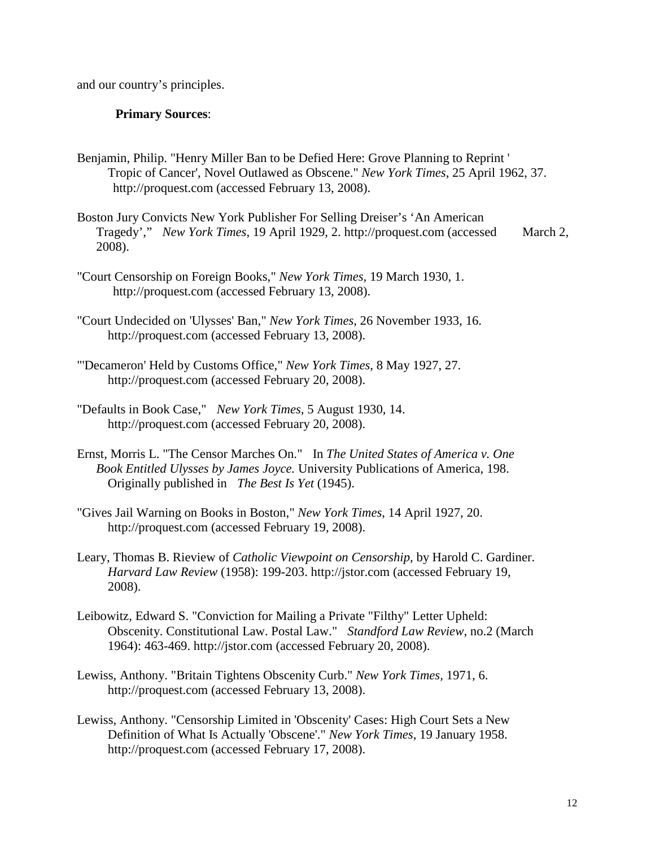and our country's principles.

## **Primary Sources**:

- Benjamin, Philip. "Henry Miller Ban to be Defied Here: Grove Planning to Reprint ' Tropic of Cancer', Novel Outlawed as Obscene." *New York Times*, 25 April 1962, 37. http://proquest.com (accessed February 13, 2008).
- Boston Jury Convicts New York Publisher For Selling Dreiser's 'An American Tragedy'," *New York Times*, 19 April 1929, 2. http://proquest.com (accessed March 2, 2008).
- "Court Censorship on Foreign Books," *New York Times,* 19 March 1930, 1. http://proquest.com (accessed February 13, 2008).
- "Court Undecided on 'Ulysses' Ban," *New York Times*, 26 November 1933, 16. http://proquest.com (accessed February 13, 2008).
- "'Decameron' Held by Customs Office," *New York Times*, 8 May 1927, 27. http://proquest.com (accessed February 20, 2008).
- "Defaults in Book Case," *New York Times*, 5 August 1930, 14. http://proquest.com (accessed February 20, 2008).
- Ernst, Morris L. "The Censor Marches On." In *The United States of America v. One Book Entitled Ulysses by James Joyce.* University Publications of America, 198. Originally published in *The Best Is Yet* (1945).
- "Gives Jail Warning on Books in Boston," *New York Times*, 14 April 1927, 20. http://proquest.com (accessed February 19, 2008).
- Leary, Thomas B. Rieview of *Catholic Viewpoint on Censorship,* by Harold C. Gardiner. *Harvard Law Review* (1958): 199-203. http://jstor.com (accessed February 19, 2008).
- Leibowitz, Edward S. "Conviction for Mailing a Private "Filthy" Letter Upheld: Obscenity. Constitutional Law. Postal Law." *Standford Law Review*, no.2 (March 1964): 463-469. http://jstor.com (accessed February 20, 2008).
- Lewiss, Anthony. "Britain Tightens Obscenity Curb." *New York Times,* 1971, 6. http://proquest.com (accessed February 13, 2008).
- Lewiss, Anthony. "Censorship Limited in 'Obscenity' Cases: High Court Sets a New Definition of What Is Actually 'Obscene'." *New York Times*, 19 January 1958. http://proquest.com (accessed February 17, 2008).